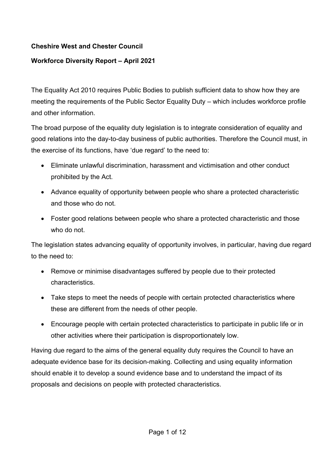# **Cheshire West and Chester Council**

# **Workforce Diversity Report – April 2021**

The Equality Act 2010 requires Public Bodies to publish sufficient data to show how they are meeting the requirements of the Public Sector Equality Duty – which includes workforce profile and other information.

The broad purpose of the equality duty legislation is to integrate consideration of equality and good relations into the day-to-day business of public authorities. Therefore the Council must, in the exercise of its functions, have 'due regard' to the need to:

- Eliminate unlawful discrimination, harassment and victimisation and other conduct prohibited by the Act.
- Advance equality of opportunity between people who share a protected characteristic and those who do not.
- Foster good relations between people who share a protected characteristic and those who do not.

The legislation states advancing equality of opportunity involves, in particular, having due regard to the need to:

- Remove or minimise disadvantages suffered by people due to their protected characteristics.
- Take steps to meet the needs of people with certain protected characteristics where these are different from the needs of other people.
- Encourage people with certain protected characteristics to participate in public life or in other activities where their participation is disproportionately low.

Having due regard to the aims of the general equality duty requires the Council to have an adequate evidence base for its decision-making. Collecting and using equality information should enable it to develop a sound evidence base and to understand the impact of its proposals and decisions on people with protected characteristics.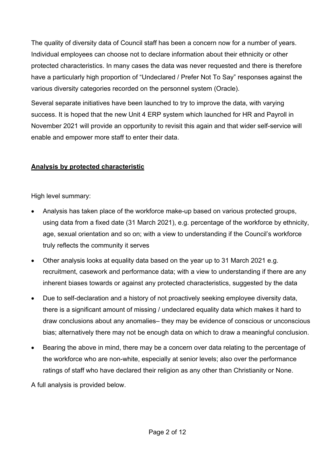The quality of diversity data of Council staff has been a concern now for a number of years. Individual employees can choose not to declare information about their ethnicity or other protected characteristics. In many cases the data was never requested and there is therefore have a particularly high proportion of "Undeclared / Prefer Not To Say" responses against the various diversity categories recorded on the personnel system (Oracle).

Several separate initiatives have been launched to try to improve the data, with varying success. It is hoped that the new Unit 4 ERP system which launched for HR and Payroll in November 2021 will provide an opportunity to revisit this again and that wider self-service will enable and empower more staff to enter their data.

# **Analysis by protected characteristic**

High level summary:

- Analysis has taken place of the workforce make-up based on various protected groups, using data from a fixed date (31 March 2021), e.g. percentage of the workforce by ethnicity, age, sexual orientation and so on; with a view to understanding if the Council's workforce truly reflects the community it serves
- Other analysis looks at equality data based on the year up to 31 March 2021 e.g. recruitment, casework and performance data; with a view to understanding if there are any inherent biases towards or against any protected characteristics, suggested by the data
- Due to self-declaration and a history of not proactively seeking employee diversity data, there is a significant amount of missing / undeclared equality data which makes it hard to draw conclusions about any anomalies– they may be evidence of conscious or unconscious bias; alternatively there may not be enough data on which to draw a meaningful conclusion.
- Bearing the above in mind, there may be a concern over data relating to the percentage of the workforce who are non-white, especially at senior levels; also over the performance ratings of staff who have declared their religion as any other than Christianity or None.

A full analysis is provided below.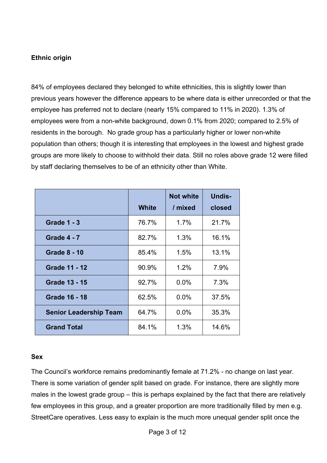## **Ethnic origin**

84% of employees declared they belonged to white ethnicities, this is slightly lower than previous years however the difference appears to be where data is either unrecorded or that the employee has preferred not to declare (nearly 15% compared to 11% in 2020). 1.3% of employees were from a non-white background, down 0.1% from 2020; compared to 2.5% of residents in the borough. No grade group has a particularly higher or lower non-white population than others; though it is interesting that employees in the lowest and highest grade groups are more likely to choose to withhold their data. Still no roles above grade 12 were filled by staff declaring themselves to be of an ethnicity other than White.

|                               |              | <b>Not white</b> | <b>Undis-</b> |
|-------------------------------|--------------|------------------|---------------|
|                               | <b>White</b> | / mixed          | closed        |
| <b>Grade 1 - 3</b>            | 76.7%        | 1.7%             | 21.7%         |
| <b>Grade 4 - 7</b>            | 82.7%        | 1.3%             | 16.1%         |
| <b>Grade 8 - 10</b>           | 85.4%        | 1.5%             | 13.1%         |
| <b>Grade 11 - 12</b>          | 90.9%        | 1.2%             | 7.9%          |
| <b>Grade 13 - 15</b>          | 92.7%        | 0.0%             | 7.3%          |
| <b>Grade 16 - 18</b>          | 62.5%        | $0.0\%$          | 37.5%         |
| <b>Senior Leadership Team</b> | 64.7%        | $0.0\%$          | 35.3%         |
| <b>Grand Total</b>            | 84.1%        | 1.3%             | 14.6%         |

#### **Sex**

The Council's workforce remains predominantly female at 71.2% - no change on last year. There is some variation of gender split based on grade. For instance, there are slightly more males in the lowest grade group – this is perhaps explained by the fact that there are relatively few employees in this group, and a greater proportion are more traditionally filled by men e.g. StreetCare operatives. Less easy to explain is the much more unequal gender split once the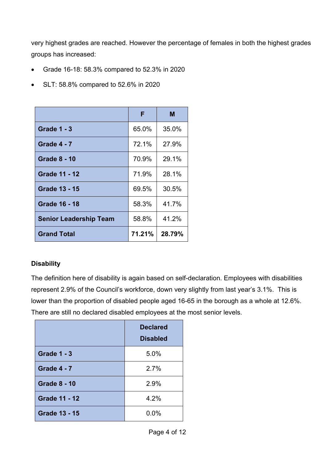very highest grades are reached. However the percentage of females in both the highest grades groups has increased:

- Grade 16-18: 58.3% compared to 52.3% in 2020
- SLT: 58.8% compared to 52.6% in 2020

|                               | F      | М      |
|-------------------------------|--------|--------|
| <b>Grade 1 - 3</b>            | 65.0%  | 35.0%  |
| <b>Grade 4 - 7</b>            | 72.1%  | 27.9%  |
| <b>Grade 8 - 10</b>           | 70.9%  | 29.1%  |
| <b>Grade 11 - 12</b>          | 71.9%  | 28.1%  |
| <b>Grade 13 - 15</b>          | 69.5%  | 30.5%  |
| <b>Grade 16 - 18</b>          | 58.3%  | 41.7%  |
| <b>Senior Leadership Team</b> | 58.8%  | 41.2%  |
| <b>Grand Total</b>            | 71.21% | 28.79% |

# **Disability**

The definition here of disability is again based on self-declaration. Employees with disabilities represent 2.9% of the Council's workforce, down very slightly from last year's 3.1%. This is lower than the proportion of disabled people aged 16-65 in the borough as a whole at 12.6%. There are still no declared disabled employees at the most senior levels.

|                      | <b>Declared</b><br><b>Disabled</b> |
|----------------------|------------------------------------|
| <b>Grade 1 - 3</b>   | 5.0%                               |
| <b>Grade 4 - 7</b>   | 2.7%                               |
| <b>Grade 8 - 10</b>  | 2.9%                               |
| <b>Grade 11 - 12</b> | 4.2%                               |
| <b>Grade 13 - 15</b> | 0.0%                               |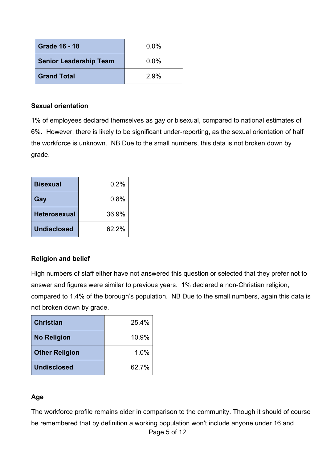| <b>Grade 16 - 18</b>          | $0.0\%$ |
|-------------------------------|---------|
| <b>Senior Leadership Team</b> | $0.0\%$ |
| <b>Grand Total</b>            | 2.9%    |

#### **Sexual orientation**

1% of employees declared themselves as gay or bisexual, compared to national estimates of 6%. However, there is likely to be significant under-reporting, as the sexual orientation of half the workforce is unknown. NB Due to the small numbers, this data is not broken down by grade.

| <b>Bisexual</b>     | 0.2%  |
|---------------------|-------|
| Gay                 | 0.8%  |
| <b>Heterosexual</b> | 36.9% |
| <b>Undisclosed</b>  | 62.2% |

## **Religion and belief**

High numbers of staff either have not answered this question or selected that they prefer not to answer and figures were similar to previous years. 1% declared a non-Christian religion, compared to 1.4% of the borough's population. NB Due to the small numbers, again this data is not broken down by grade.

| <b>Christian</b>      | 25.4% |
|-----------------------|-------|
| <b>No Religion</b>    | 10.9% |
| <b>Other Religion</b> | 1.0%  |
| <b>Undisclosed</b>    | 62.7% |

## **Age**

Page 5 of 12 The workforce profile remains older in comparison to the community. Though it should of course be remembered that by definition a working population won't include anyone under 16 and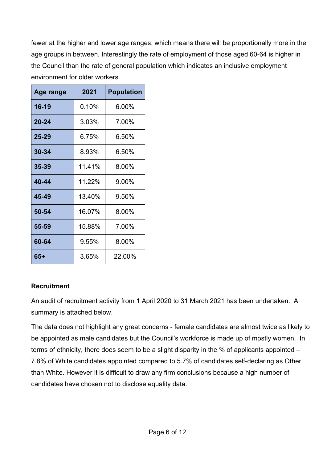fewer at the higher and lower age ranges; which means there will be proportionally more in the age groups in between. Interestingly the rate of employment of those aged 60-64 is higher in the Council than the rate of general population which indicates an inclusive employment environment for older workers.

| Age range | 2021   | <b>Population</b> |
|-----------|--------|-------------------|
| 16-19     | 0.10%  | 6.00%             |
| $20 - 24$ | 3.03%  | 7.00%             |
| $25 - 29$ | 6.75%  | 6.50%             |
| $30 - 34$ | 8.93%  | 6.50%             |
| $35 - 39$ | 11.41% | 8.00%             |
| 40-44     | 11.22% | 9.00%             |
| 45-49     | 13.40% | 9.50%             |
| 50-54     | 16.07% | 8.00%             |
| 55-59     | 15.88% | 7.00%             |
| 60-64     | 9.55%  | 8.00%             |
| 65+       | 3.65%  | 22.00%            |

# **Recruitment**

An audit of recruitment activity from 1 April 2020 to 31 March 2021 has been undertaken. A summary is attached below.

The data does not highlight any great concerns - female candidates are almost twice as likely to be appointed as male candidates but the Council's workforce is made up of mostly women. In terms of ethnicity, there does seem to be a slight disparity in the % of applicants appointed – 7.8% of White candidates appointed compared to 5.7% of candidates self-declaring as Other than White. However it is difficult to draw any firm conclusions because a high number of candidates have chosen not to disclose equality data.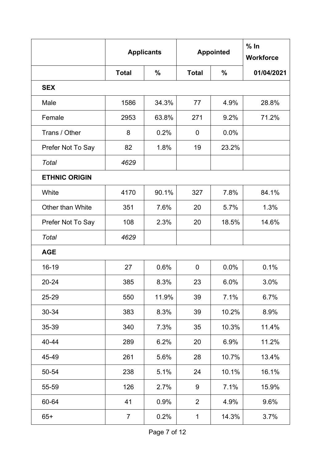|                         | <b>Applicants</b> |       |                      | <b>Appointed</b> | % In<br><b>Workforce</b> |
|-------------------------|-------------------|-------|----------------------|------------------|--------------------------|
|                         | <b>Total</b>      | $\%$  | $\%$<br><b>Total</b> |                  | 01/04/2021               |
| <b>SEX</b>              |                   |       |                      |                  |                          |
| Male                    | 1586              | 34.3% | 77                   | 4.9%             | 28.8%                    |
| Female                  | 2953              | 63.8% | 271                  | 9.2%             | 71.2%                    |
| Trans / Other           | 8                 | 0.2%  | 0                    | 0.0%             |                          |
| Prefer Not To Say       | 82                | 1.8%  | 19                   | 23.2%            |                          |
| Total                   | 4629              |       |                      |                  |                          |
| <b>ETHNIC ORIGIN</b>    |                   |       |                      |                  |                          |
| White                   | 4170              | 90.1% | 327                  | 7.8%             | 84.1%                    |
| <b>Other than White</b> | 351               | 7.6%  | 20                   | 5.7%             | 1.3%                     |
| Prefer Not To Say       | 108               | 2.3%  | 20                   | 18.5%            | 14.6%                    |
| <b>Total</b>            | 4629              |       |                      |                  |                          |
| <b>AGE</b>              |                   |       |                      |                  |                          |
| 16-19                   | 27                | 0.6%  | 0                    | 0.0%             | 0.1%                     |
| 20-24                   | 385               | 8.3%  | 23                   | 6.0%             | 3.0%                     |
| 25-29                   | 550               | 11.9% | 39                   | 7.1%             | 6.7%                     |
| 30-34                   | 383               | 8.3%  | 39                   | 10.2%            | 8.9%                     |
| 35-39                   | 340               | 7.3%  | 35                   | 10.3%            | 11.4%                    |
| 40-44                   | 289               | 6.2%  | 20                   | 6.9%             | 11.2%                    |
| 45-49                   | 261               | 5.6%  | 28                   | 10.7%            | 13.4%                    |
| 50-54                   | 238               | 5.1%  | 24                   | 10.1%            | 16.1%                    |
| 55-59                   | 126               | 2.7%  | 9                    | 7.1%             | 15.9%                    |
| 60-64                   | 41                | 0.9%  | $\overline{2}$       | 4.9%             | 9.6%                     |
| $65+$                   | $\overline{7}$    | 0.2%  | $\mathbf{1}$         | 14.3%            | 3.7%                     |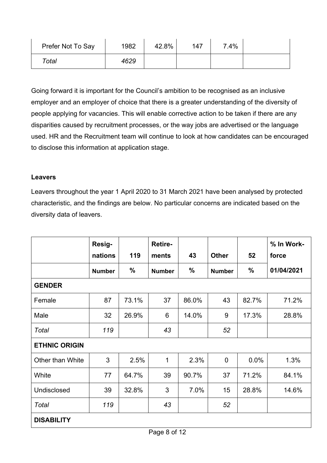| Prefer Not To Say | 1982 | 42.8% | 147 | 7.4% |  |
|-------------------|------|-------|-----|------|--|
| Total             | 4629 |       |     |      |  |

Going forward it is important for the Council's ambition to be recognised as an inclusive employer and an employer of choice that there is a greater understanding of the diversity of people applying for vacancies. This will enable corrective action to be taken if there are any disparities caused by recruitment processes, or the way jobs are advertised or the language used. HR and the Recruitment team will continue to look at how candidates can be encouraged to disclose this information at application stage.

# **Leavers**

Leavers throughout the year 1 April 2020 to 31 March 2021 have been analysed by protected characteristic, and the findings are below. No particular concerns are indicated based on the diversity data of leavers.

|                         | Resig-<br>nations | 119   | Retire-<br>ments | 43    | <b>Other</b>   | 52    | % In Work-<br>force |
|-------------------------|-------------------|-------|------------------|-------|----------------|-------|---------------------|
|                         | <b>Number</b>     | %     | <b>Number</b>    | $\%$  | <b>Number</b>  | $\%$  | 01/04/2021          |
| <b>GENDER</b>           |                   |       |                  |       |                |       |                     |
| Female                  | 87                | 73.1% | 37               | 86.0% | 43             | 82.7% | 71.2%               |
| Male                    | 32                | 26.9% | 6                | 14.0% | 9              | 17.3% | 28.8%               |
| Total                   | 119               |       | 43               |       | 52             |       |                     |
| <b>ETHNIC ORIGIN</b>    |                   |       |                  |       |                |       |                     |
| <b>Other than White</b> | 3                 | 2.5%  | $\mathbf{1}$     | 2.3%  | $\overline{0}$ | 0.0%  | 1.3%                |
| White                   | 77                | 64.7% | 39               | 90.7% | 37             | 71.2% | 84.1%               |
| Undisclosed             | 39                | 32.8% | 3                | 7.0%  | 15             | 28.8% | 14.6%               |
| Total                   | 119               |       | 43               |       | 52             |       |                     |
| <b>DISABILITY</b>       |                   |       |                  |       |                |       |                     |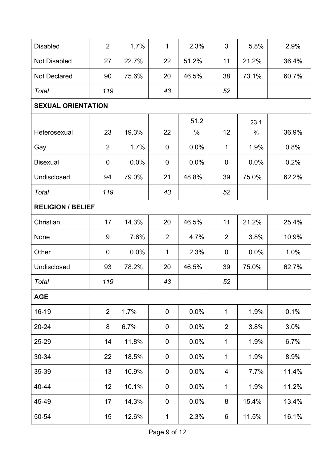| <b>Disabled</b>           | $\overline{2}$   | 1.7%  | $\mathbf{1}$     | 2.3%  | 3              | 5.8%  | 2.9%  |  |  |  |
|---------------------------|------------------|-------|------------------|-------|----------------|-------|-------|--|--|--|
| <b>Not Disabled</b>       | 27               | 22.7% | 22               | 51.2% | 11             | 21.2% | 36.4% |  |  |  |
| <b>Not Declared</b>       | 90               | 75.6% | 20               | 46.5% | 38             | 73.1% | 60.7% |  |  |  |
| Total                     | 119              |       | 43               |       | 52             |       |       |  |  |  |
| <b>SEXUAL ORIENTATION</b> |                  |       |                  |       |                |       |       |  |  |  |
|                           |                  |       |                  | 51.2  |                | 23.1  |       |  |  |  |
| Heterosexual              | 23               | 19.3% | 22               | $\%$  | 12             | $\%$  | 36.9% |  |  |  |
| Gay                       | $\overline{2}$   | 1.7%  | $\mathbf 0$      | 0.0%  | $\mathbf{1}$   | 1.9%  | 0.8%  |  |  |  |
| <b>Bisexual</b>           | $\boldsymbol{0}$ | 0.0%  | $\boldsymbol{0}$ | 0.0%  | $\mathbf 0$    | 0.0%  | 0.2%  |  |  |  |
| Undisclosed               | 94               | 79.0% | 21               | 48.8% | 39             | 75.0% | 62.2% |  |  |  |
| Total                     | 119              |       | 43               |       | 52             |       |       |  |  |  |
| <b>RELIGION / BELIEF</b>  |                  |       |                  |       |                |       |       |  |  |  |
| Christian                 | 17               | 14.3% | 20               | 46.5% | 11             | 21.2% | 25.4% |  |  |  |
| None                      | $9\,$            | 7.6%  | $\overline{2}$   | 4.7%  | $\overline{2}$ | 3.8%  | 10.9% |  |  |  |
| Other                     | $\mathbf 0$      | 0.0%  | $\mathbf{1}$     | 2.3%  | $\mathbf 0$    | 0.0%  | 1.0%  |  |  |  |
| Undisclosed               | 93               | 78.2% | 20               | 46.5% | 39             | 75.0% | 62.7% |  |  |  |
| Total                     | 119              |       | 43               |       | 52             |       |       |  |  |  |
| <b>AGE</b>                |                  |       |                  |       |                |       |       |  |  |  |
| $16 - 19$                 | $\overline{2}$   | 1.7%  | $\mathbf 0$      | 0.0%  | $\mathbf{1}$   | 1.9%  | 0.1%  |  |  |  |
| $20 - 24$                 | 8                | 6.7%  | $\mathbf 0$      | 0.0%  | $\overline{2}$ | 3.8%  | 3.0%  |  |  |  |
| 25-29                     | 14               | 11.8% | $\pmb{0}$        | 0.0%  | $\mathbf{1}$   | 1.9%  | 6.7%  |  |  |  |
| 30-34                     | 22               | 18.5% | $\boldsymbol{0}$ | 0.0%  | $\mathbf{1}$   | 1.9%  | 8.9%  |  |  |  |
| 35-39                     | 13               | 10.9% | $\mathbf 0$      | 0.0%  | $\overline{4}$ | 7.7%  | 11.4% |  |  |  |
| 40-44                     | 12               | 10.1% | $\mathbf 0$      | 0.0%  | $\mathbf{1}$   | 1.9%  | 11.2% |  |  |  |
| 45-49                     | 17               | 14.3% | 0                | 0.0%  | 8              | 15.4% | 13.4% |  |  |  |
| 50-54                     | 15               | 12.6% | 1                | 2.3%  | 6              | 11.5% | 16.1% |  |  |  |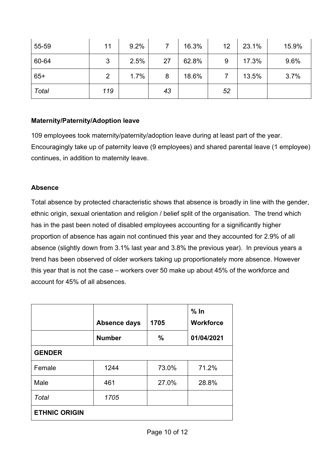| 55-59 | 11  | 9.2% |    | 16.3% | 12 | 23.1% | 15.9% |
|-------|-----|------|----|-------|----|-------|-------|
| 60-64 | 3   | 2.5% | 27 | 62.8% | 9  | 17.3% | 9.6%  |
| $65+$ | 2   | 1.7% | 8  | 18.6% |    | 13.5% | 3.7%  |
| Total | 119 |      | 43 |       | 52 |       |       |

## **Maternity/Paternity/Adoption leave**

109 employees took maternity/paternity/adoption leave during at least part of the year. Encouragingly take up of paternity leave (9 employees) and shared parental leave (1 employee) continues, in addition to maternity leave.

## **Absence**

Total absence by protected characteristic shows that absence is broadly in line with the gender, ethnic origin, sexual orientation and religion / belief split of the organisation. The trend which has in the past been noted of disabled employees accounting for a significantly higher proportion of absence has again not continued this year and they accounted for 2.9% of all absence (slightly down from 3.1% last year and 3.8% the previous year). In previous years a trend has been observed of older workers taking up proportionately more absence. However this year that is not the case – workers over 50 make up about 45% of the workforce and account for 45% of all absences.

|                      | Absence days  | 1705          | % In<br><b>Workforce</b> |  |  |
|----------------------|---------------|---------------|--------------------------|--|--|
|                      | <b>Number</b> | $\frac{0}{0}$ | 01/04/2021               |  |  |
| <b>GENDER</b>        |               |               |                          |  |  |
| Female               | 1244          | 73.0%         | 71.2%                    |  |  |
| Male                 | 461           | 27.0%         | 28.8%                    |  |  |
| Total                | 1705          |               |                          |  |  |
| <b>ETHNIC ORIGIN</b> |               |               |                          |  |  |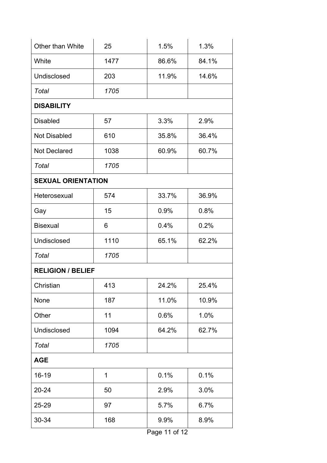| Other than White          | 25   | 1.5%  | 1.3%  |
|---------------------------|------|-------|-------|
| White                     | 1477 | 86.6% | 84.1% |
| Undisclosed               | 203  | 11.9% | 14.6% |
| Total                     | 1705 |       |       |
| <b>DISABILITY</b>         |      |       |       |
| <b>Disabled</b>           | 57   | 3.3%  | 2.9%  |
| <b>Not Disabled</b>       | 610  | 35.8% | 36.4% |
| <b>Not Declared</b>       | 1038 | 60.9% | 60.7% |
| Total                     | 1705 |       |       |
| <b>SEXUAL ORIENTATION</b> |      |       |       |
| Heterosexual              | 574  | 33.7% | 36.9% |
| Gay                       | 15   | 0.9%  | 0.8%  |
| <b>Bisexual</b>           | 6    | 0.4%  | 0.2%  |
| Undisclosed               | 1110 | 65.1% | 62.2% |
| <b>Total</b>              | 1705 |       |       |
| <b>RELIGION / BELIEF</b>  |      |       |       |
| Christian                 | 413  | 24.2% | 25.4% |
| None                      | 187  | 11.0% | 10.9% |
| Other                     | 11   | 0.6%  | 1.0%  |
| <b>Undisclosed</b>        | 1094 | 64.2% | 62.7% |
| Total                     | 1705 |       |       |
| <b>AGE</b>                |      |       |       |
| 16-19                     | 1    | 0.1%  | 0.1%  |
| 20-24                     | 50   | 2.9%  | 3.0%  |
| 25-29                     | 97   | 5.7%  | 6.7%  |
| 30-34                     | 168  | 9.9%  | 8.9%  |
|                           |      |       |       |

Page 11 of 12